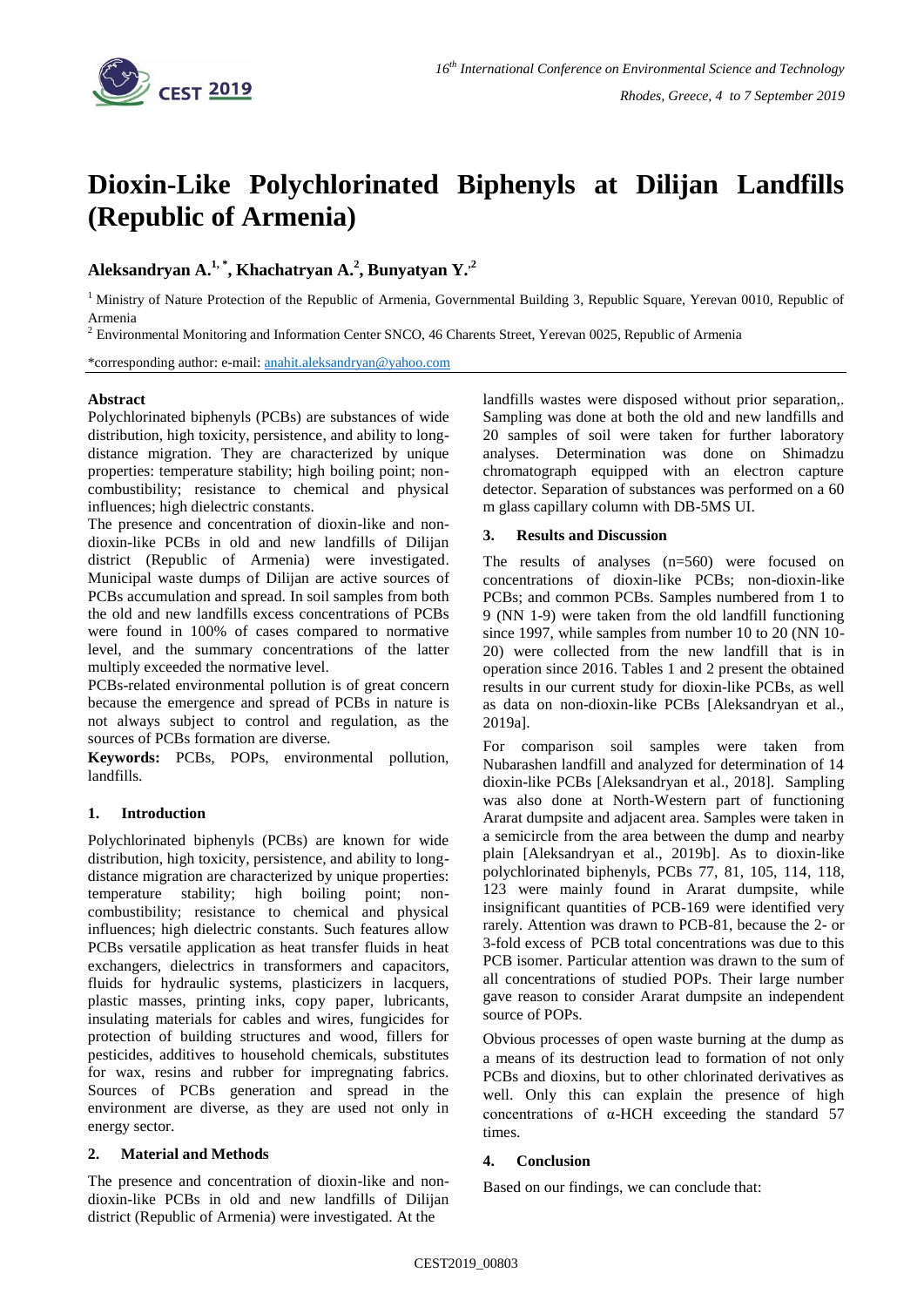

# **Dioxin-Like Polychlorinated Biphenyls at Dilijan Landfills (Republic of Armenia)**

**Aleksandryan A.1, \* , Khachatryan A.<sup>2</sup> , Bunyatyan Y.,2** 

<sup>1</sup> Ministry of Nature Protection of the Republic of Armenia, Governmental Building 3, Republic Square, Yerevan 0010, Republic of Armenia

<sup>2</sup> Environmental Monitoring and Information Center SNCO, 46 Charents Street, Yerevan 0025, Republic of Armenia

\*corresponding author: e-mail: [anahit.aleksandryan@yahoo.com](mailto:anahit.aleksandryan@yahoo.com)

#### **Abstract**

Polychlorinated biphenyls (PCBs) are substances of wide distribution, high toxicity, persistence, and ability to longdistance migration. They are characterized by unique properties: temperature stability; high boiling point; noncombustibility; resistance to chemical and physical influences; high dielectric constants.

The presence and concentration of dioxin-like and nondioxin-like PCBs in old and new landfills of Dilijan district (Republic of Armenia) were investigated. Municipal waste dumps of Dilijan are active sources of PCBs accumulation and spread. In soil samples from both the old and new landfills excess concentrations of PCBs were found in 100% of cases compared to normative level, and the summary concentrations of the latter multiply exceeded the normative level.

PCBs-related environmental pollution is of great concern because the emergence and spread of PCBs in nature is not always subject to control and regulation, as the sources of PCBs formation are diverse.

**Keywords:** PCBs, POPs, environmental pollution, landfills.

#### **1. Introduction**

Polychlorinated biphenyls (PCBs) are known for wide distribution, high toxicity, persistence, and ability to longdistance migration are characterized by unique properties: temperature stability; high boiling point; noncombustibility; resistance to chemical and physical influences; high dielectric constants. Such features allow PCBs versatile application as heat transfer fluids in heat exchangers, dielectrics in transformers and capacitors, fluids for hydraulic systems, plasticizers in lacquers, plastic masses, printing inks, copy paper, lubricants, insulating materials for cables and wires, fungicides for protection of building structures and wood, fillers for pesticides, additives to household chemicals, substitutes for wax, resins and rubber for impregnating fabrics. Sources of PCBs generation and spread in the environment are diverse, as they are used not only in energy sector.

#### **2. Material and Methods**

The presence and concentration of dioxin-like and nondioxin-like PCBs in old and new landfills of Dilijan district (Republic of Armenia) were investigated. At the

landfills wastes were disposed without prior separation,. Sampling was done at both the old and new landfills and 20 samples of soil were taken for further laboratory analyses. Determination was done on Shimadzu chromatograph equipped with an electron capture detector. Separation of substances was performed on a 60 m glass capillary column with DB-5MS UI.

#### **3. Results and Discussion**

The results of analyses (n=560) were focused on concentrations of dioxin-like PCBs; non-dioxin-like PCBs; and common PCBs. Samples numbered from 1 to 9 (NN 1-9) were taken from the old landfill functioning since 1997, while samples from number 10 to 20 (NN 10- 20) were collected from the new landfill that is in operation since 2016. Tables 1 and 2 present the obtained results in our current study for dioxin-like PCBs, as well as data on non-dioxin-like PCBs [Aleksandryan et al., 2019a].

For comparison soil samples were taken from Nubarashen landfill and analyzed for determination of 14 dioxin-like PCBs [Aleksandryan et al., 2018]. Sampling was also done at North-Western part of functioning Ararat dumpsite and adjacent area. Samples were taken in a semicircle from the area between the dump and nearby plain [Aleksandryan et al., 2019b]. As to dioxin-like polychlorinated biphenyls, PCBs 77, 81, 105, 114, 118, 123 were mainly found in Ararat dumpsite, while insignificant quantities of PCB-169 were identified very rarely. Attention was drawn to PCB-81, because the 2- or 3-fold excess of PCB total concentrations was due to this PCB isomer. Particular attention was drawn to the sum of all concentrations of studied POPs. Their large number gave reason to consider Ararat dumpsite an independent source of POPs.

Obvious processes of open waste burning at the dump as a means of its destruction lead to formation of not only PCBs and dioxins, but to other chlorinated derivatives as well. Only this can explain the presence of high concentrations of  $\alpha$ -HCH exceeding the standard 57 times.

## **4. Conclusion**

Based on our findings, we can conclude that: